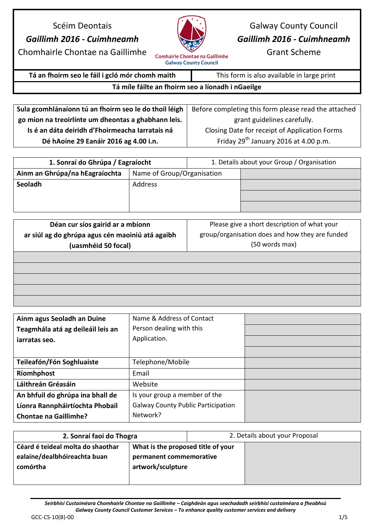## Scéim Deontais *Gaillimh 2016 - Cuimhneamh*



Galway County Council *Gaillimh 2016 - Cuimhneamh*

Grant Scheme

Chomhairle Chontae na Gaillimhe

**Comhairle Chontae na Gaillimhe Galway County Council** 

## **Tá an fhoirm seo le fáil i gcló mór chomh maith** This form is also available in large print

## **Tá míle fáilte an fhoirm seo a líonadh i nGaeilge**

| Sula gcomhlánaíonn tú an fhoirm seo le do thoil léigh | Before completing this form please read the attached |
|-------------------------------------------------------|------------------------------------------------------|
| go mion na treoirlínte um dheontas a ghabhann leis.   | grant guidelines carefully.                          |
| Is é an dáta deiridh d'Fhoirmeacha Iarratais ná       | Closing Date for receipt of Application Forms        |
| Dé hAoine 29 Eanáir 2016 ag 4.00 i.n.                 | Friday $29^{th}$ January 2016 at 4.00 p.m.           |

| 1. Sonraí do Ghrúpa / Eagraíocht |                            |  | 1. Details about your Group / Organisation |
|----------------------------------|----------------------------|--|--------------------------------------------|
| Ainm an Ghrúpa/na hEagraíochta   | Name of Group/Organisation |  |                                            |
| Seoladh                          | Address                    |  |                                            |
|                                  |                            |  |                                            |
|                                  |                            |  |                                            |

| Déan cur síos gairid ar a mbíonn                 | Please give a short description of what your    |
|--------------------------------------------------|-------------------------------------------------|
| ar siúl ag do ghrúpa agus cén maoiniú atá agaibh | group/organisation does and how they are funded |
| (uasmhéid 50 focal)                              | (50 words max)                                  |
|                                                  |                                                 |
|                                                  |                                                 |
|                                                  |                                                 |
|                                                  |                                                 |
|                                                  |                                                 |

| Ainm agus Seoladh an Duine        | Name & Address of Contact                 |  |
|-----------------------------------|-------------------------------------------|--|
| Teagmhála atá ag deileáil leis an | Person dealing with this                  |  |
| iarratas seo.                     | Application.                              |  |
|                                   |                                           |  |
| Teileafón/Fón Soghluaiste         | Telephone/Mobile                          |  |
| Ríomhphost                        | Email                                     |  |
| Láithreán Gréasáin                | Website                                   |  |
| An bhfuil do ghrúpa ina bhall de  | Is your group a member of the             |  |
| Líonra Rannpháirtíochta Phobail   | <b>Galway County Public Participation</b> |  |
| <b>Chontae na Gaillimhe?</b>      | Network?                                  |  |

| 2. Sonraí faoi do Thogra          |                                    |  | 2. Details about your Proposal |
|-----------------------------------|------------------------------------|--|--------------------------------|
| Céard é teideal molta do shaothar | What is the proposed title of your |  |                                |
| ealaíne/dealbhóireachta buan      | permanent commemorative            |  |                                |
| comórtha                          | artwork/sculpture                  |  |                                |
|                                   |                                    |  |                                |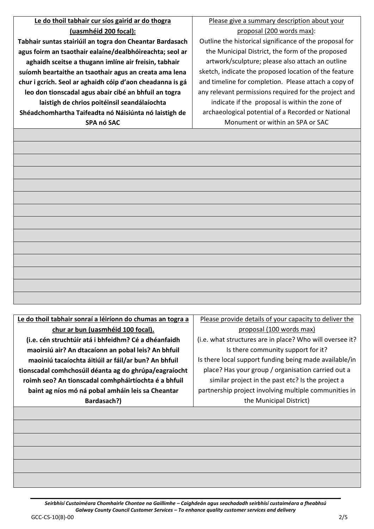## **Le do thoil tabhair cur síos gairid ar do thogra (uasmhéid 200 focal):**

**Tabhair suntas stairiúil an togra don Cheantar Bardasach agus foirm an tsaothair ealaíne/dealbhóireachta; seol ar aghaidh sceitse a thugann imlíne air freisin, tabhair suíomh beartaithe an tsaothair agus an creata ama lena chur i gcrích. Seol ar aghaidh cóip d'aon cheadanna is gá leo don tionscadal agus abair cibé an bhfuil an togra laistigh de chrios poitéinsil seandálaíochta Shéadchomhartha Taifeadta nó Náisiúnta nó laistigh de SPA nó SAC**

Please give a summary description about your proposal (200 words max):

Outline the historical significance of the proposal for the Municipal District, the form of the proposed artwork/sculpture; please also attach an outline sketch, indicate the proposed location of the feature and timeline for completion. Please attach a copy of any relevant permissions required for the project and indicate if the proposal is within the zone of archaeological potential of a Recorded or National Monument or within an SPA or SAC

| Le do thoil tabhair sonraí a léiríonn do chumas an togra a | Please provide details of your capacity to deliver the   |
|------------------------------------------------------------|----------------------------------------------------------|
| chur ar bun (uasmhéid 100 focal).                          | proposal (100 words max)                                 |
| (i.e. cén struchtúir atá i bhfeidhm? Cé a dhéanfaidh       | (i.e. what structures are in place? Who will oversee it? |
| maoirsiú air? An dtacaíonn an pobal leis? An bhfuil        | Is there community support for it?                       |
| maoiniú tacaíochta áitiúil ar fáil/ar bun? An bhfuil       | Is there local support funding being made available/in   |
| tionscadal comhchosúil déanta ag do ghrúpa/eagraíocht      | place? Has your group / organisation carried out a       |
| roimh seo? An tionscadal comhpháirtíochta é a bhfuil       | similar project in the past etc? Is the project a        |
| baint ag níos mó ná pobal amháin leis sa Cheantar          | partnership project involving multiple communities in    |
| Bardasach?)                                                | the Municipal District)                                  |
|                                                            |                                                          |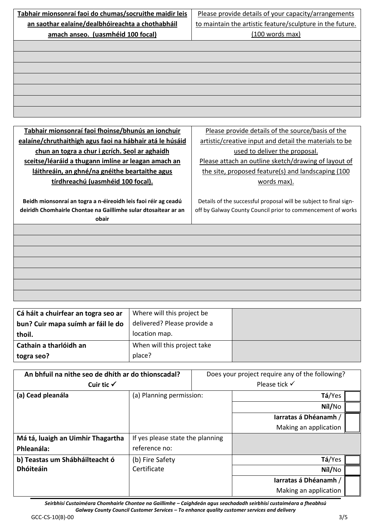| Tabhair mionsonraí faoi do chumas/socruithe maidir leis        |                             |                                                           | Please provide details of your capacity/arrangements              |
|----------------------------------------------------------------|-----------------------------|-----------------------------------------------------------|-------------------------------------------------------------------|
| an saothar ealaíne/dealbhóireachta a chothabháil               |                             | to maintain the artistic feature/sculpture in the future. |                                                                   |
| amach anseo. (uasmhéid 100 focal)                              |                             |                                                           | (100 words max)                                                   |
|                                                                |                             |                                                           |                                                                   |
|                                                                |                             |                                                           |                                                                   |
|                                                                |                             |                                                           |                                                                   |
|                                                                |                             |                                                           |                                                                   |
|                                                                |                             |                                                           |                                                                   |
|                                                                |                             |                                                           |                                                                   |
|                                                                |                             |                                                           |                                                                   |
|                                                                |                             |                                                           |                                                                   |
|                                                                |                             |                                                           |                                                                   |
| Tabhair mionsonraí faoi fhoinse/bhunús an ionchuir             |                             |                                                           | Please provide details of the source/basis of the                 |
| ealaíne/chruthaithigh agus faoi na hábhair atá le húsáid       |                             |                                                           | artistic/creative input and detail the materials to be            |
| chun an togra a chur i gcrích. Seol ar aghaidh                 |                             | used to deliver the proposal.                             |                                                                   |
| sceitse/léaráid a thugann imlíne ar leagan amach an            |                             |                                                           | Please attach an outline sketch/drawing of layout of              |
| láithreáin, an ghné/na gnéithe beartaithe agus                 |                             |                                                           | the site, proposed feature(s) and landscaping (100                |
| tírdhreachú (uasmhéid 100 focal).                              |                             | words max).                                               |                                                                   |
|                                                                |                             |                                                           |                                                                   |
| Beidh mionsonraí an togra a n-éireoidh leis faoi réir ag ceadú |                             |                                                           | Details of the successful proposal will be subject to final sign- |
| deiridh Chomhairle Chontae na Gaillimhe sular dtosaítear ar an |                             |                                                           | off by Galway County Council prior to commencement of works       |
| obair                                                          |                             |                                                           |                                                                   |
|                                                                |                             |                                                           |                                                                   |
|                                                                |                             |                                                           |                                                                   |
|                                                                |                             |                                                           |                                                                   |
|                                                                |                             |                                                           |                                                                   |
|                                                                |                             |                                                           |                                                                   |
|                                                                |                             |                                                           |                                                                   |
|                                                                |                             |                                                           |                                                                   |
|                                                                |                             |                                                           |                                                                   |
| Cá háit a chuirfear an togra seo ar                            | Where will this project be  |                                                           |                                                                   |
| bun? Cuir mapa suímh ar fáil le do                             | delivered? Please provide a |                                                           |                                                                   |
| thoil.                                                         | location map.               |                                                           |                                                                   |
| Cathain a tharlóidh an                                         | When will this project take |                                                           |                                                                   |
| togra seo?                                                     | place?                      |                                                           |                                                                   |
|                                                                |                             |                                                           |                                                                   |
| An bhfuil na nithe seo de dhíth ar do thionscadal?             |                             |                                                           | Does your project require any of the following?                   |
| Cuir tic $\checkmark$                                          |                             |                                                           | Please tick √                                                     |
| (a) Cead pleanála                                              | (a) Planning nermission:    |                                                           | $T\acute{a}/V$ es                                                 |

| (a) Cead pleanála                 | (a) Planning permission:         | Tá/Yes                |  |
|-----------------------------------|----------------------------------|-----------------------|--|
|                                   |                                  | Níl/No                |  |
|                                   |                                  | Iarratas á Dhéanamh / |  |
|                                   |                                  | Making an application |  |
| Má tá, luaigh an Uimhir Thagartha | If yes please state the planning |                       |  |
| Phleanála:                        | reference no:                    |                       |  |
| b) Teastas um Shábháilteacht ó    | (b) Fire Safety                  | Tá/Yes                |  |
| <b>Dhóiteáin</b>                  | Certificate                      | Níl/No                |  |
|                                   |                                  | Iarratas á Dhéanamh / |  |
|                                   |                                  | Making an application |  |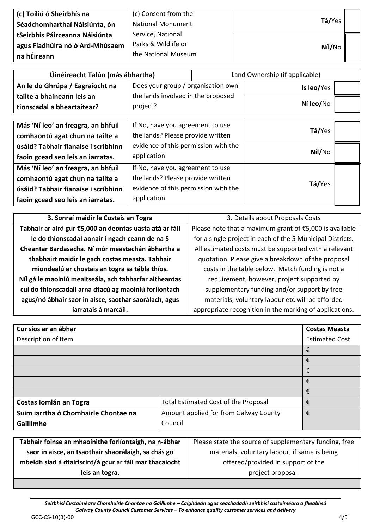| (c) Toiliú ó Sheirbhís na       | (c) Consent from the     |        |  |
|---------------------------------|--------------------------|--------|--|
| Séadchomharthaí Náisiúnta, ón   | <b>National Monument</b> | Tá/Yes |  |
| tSeirbhís Páirceanna Náisiúnta  | Service, National        |        |  |
| agus Fiadhúlra nó ó Ard-Mhúsaem | Parks & Wildlife or      | Níl/No |  |
| na hÉireann                     | the National Museum      |        |  |

| Úinéireacht Talún (más ábhartha) |                                    |  | Land Ownership (if applicable) |  |
|----------------------------------|------------------------------------|--|--------------------------------|--|
| An le do Ghrúpa / Eagraíocht na  | Does your group / organisation own |  | Is leo/Yes                     |  |
| tailte a bhaineann leis an       | the lands involved in the proposed |  |                                |  |
| tionscadal a bheartaítear?       | project?                           |  | Ní leo/No                      |  |
|                                  |                                    |  |                                |  |

| Más 'Ní leo' an freagra, an bhfuil  | If No, have you agreement to use     | Tá/Yes |  |
|-------------------------------------|--------------------------------------|--------|--|
| comhaontú agat chun na tailte a     | the lands? Please provide written    |        |  |
| úsáid? Tabhair fianaise i scríbhinn | evidence of this permission with the | Níl/No |  |
| faoin gcead seo leis an iarratas.   | application                          |        |  |
| Más 'Ní leo' an freagra, an bhfuil  | If No, have you agreement to use     |        |  |
| comhaontú agat chun na tailte a     | the lands? Please provide written    |        |  |
| úsáid? Tabhair fianaise i scríbhinn | evidence of this permission with the | Tá/Yes |  |
| faoin gcead seo leis an iarratas.   | application                          |        |  |

| 3. Sonraí maidir le Costais an Togra                    | 3. Details about Proposals Costs                           |
|---------------------------------------------------------|------------------------------------------------------------|
| Tabhair ar aird gur €5,000 an deontas uasta atá ar fáil | Please note that a maximum grant of $£5,000$ is available  |
| le do thionscadal aonair i ngach ceann de na 5          | for a single project in each of the 5 Municipal Districts. |
| Cheantar Bardasacha. Ní mór meastachán ábhartha a       | All estimated costs must be supported with a relevant      |
| thabhairt maidir le gach costas measta. Tabhair         | quotation. Please give a breakdown of the proposal         |
| miondealú ar chostais an togra sa tábla thíos.          | costs in the table below. Match funding is not a           |
| Níl gá le maoiniú meaitseála, ach tabharfar aitheantas  | requirement, however, project supported by                 |
| cuí do thionscadail arna dtacú ag maoiniú forlíontach   | supplementary funding and/or support by free               |
| agus/nó ábhair saor in aisce, saothar saorálach, agus   | materials, voluntary labour etc will be afforded           |
| iarratais á marcáil.                                    | appropriate recognition in the marking of applications.    |

| Cur síos ar an ábhar                 |                                       | <b>Costas Measta</b>  |
|--------------------------------------|---------------------------------------|-----------------------|
| Description of Item                  |                                       | <b>Estimated Cost</b> |
|                                      |                                       | €                     |
|                                      |                                       | €                     |
|                                      |                                       | €                     |
|                                      |                                       | €                     |
|                                      |                                       | €                     |
| Costas Iomlán an Togra               | Total Estimated Cost of the Proposal  | €                     |
| Suim iarrtha ó Chomhairle Chontae na | Amount applied for from Galway County | €                     |
| Gaillimhe                            | Council                               |                       |

| Tabhair foinse an mhaoinithe forlíontaigh, na n-ábhar   |  |
|---------------------------------------------------------|--|
| saor in aisce, an tsaothair shaorálaigh, sa chás go     |  |
| mbeidh siad á dtairiscint/á gcur ar fáil mar thacaíocht |  |
| leis an togra.                                          |  |

Please state the source of supplementary funding, free materials, voluntary labour, if same is being offered/provided in support of the project proposal.